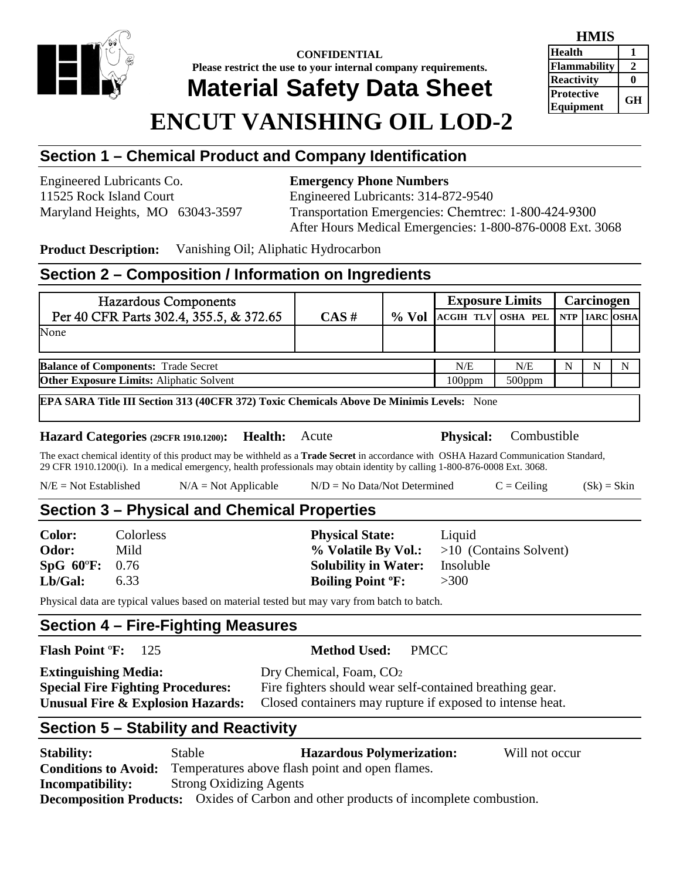

**CONFIDENTIAL Please restrict the use to your internal company requirements. Material Safety Data Sheet**

#### **HMIS Health 1 Flammability 2 Reactivity** 0 **Protective**

# **ENCUT VANISHING OIL LOD-2**

## **Section 1 – Chemical Product and Company Identification**

Engineered Lubricants Co. **Emergency Phone Numbers**

11525 Rock Island Court Engineered Lubricants: 314-872-9540 Maryland Heights, MO 63043-3597 Transportation Emergencies: Chemtrec: 1-800-424-9300 After Hours Medical Emergencies: 1-800-876-0008 Ext. 3068

**Product Description:** Vanishing Oil; Aliphatic Hydrocarbon

## **Section 2 – Composition / Information on Ingredients**

| <b>Hazardous Components</b>                     |          |           | <b>Exposure Limits</b>           |     | Carcinogen |  |   |
|-------------------------------------------------|----------|-----------|----------------------------------|-----|------------|--|---|
| Per 40 CFR Parts 302.4, 355.5, & 372.65         | $CAS \#$ | $\%$ Vol  | ACGIH TLV OSHA PEL NTP IARC OSHA |     |            |  |   |
| None                                            |          |           |                                  |     |            |  |   |
|                                                 |          |           |                                  |     |            |  |   |
| <b>Balance of Components: Trade Secret</b>      |          |           | N/E                              | N/E | N          |  | N |
| <b>Other Exposure Limits:</b> Aliphatic Solvent |          | $100$ ppm | $500$ ppm                        |     |            |  |   |
|                                                 |          |           |                                  |     |            |  |   |

**EPA SARA Title III Section 313 (40CFR 372) Toxic Chemicals Above De Minimis Levels:** None

**Hazard Categories (29CFR 1910.1200): Health:** Acute **Physical:** Combustible

The exact chemical identity of this product may be withheld as a **Trade Secret** in accordance with OSHA Hazard Communication Standard, 29 CFR 1910.1200(i). In a medical emergency, health professionals may obtain identity by calling 1-800-876-0008 Ext. 3068.

| $N/E = Not Established$ | $N/A = Not Applicable$ | $N/D = No Data/Not Determine$ | $C = Ceiling$ | $(Sk) = Skin$ |
|-------------------------|------------------------|-------------------------------|---------------|---------------|
|-------------------------|------------------------|-------------------------------|---------------|---------------|

## **Section 3 – Physical and Chemical Properties**

| <b>Color:</b>           | <b>Colorless</b> | <b>Physical State:</b>              | Liquid                                       |
|-------------------------|------------------|-------------------------------------|----------------------------------------------|
| Odor:                   | Mild             |                                     | % Volatile By Vol.: $>10$ (Contains Solvent) |
| $SpG 60^{\circ}F: 0.76$ |                  | <b>Solubility in Water:</b>         | Insoluble                                    |
| Lb/Gal:                 | 6.33             | <b>Boiling Point <sup>o</sup>F:</b> | >300                                         |

Physical data are typical values based on material tested but may vary from batch to batch.

#### **Section 4 – Fire-Fighting Measures**

**Flash Point** º**F:** 125 **Method Used:** PMCC

| <b>Extinguishing Media:</b>              | Dry Chemical, Foam, CO <sub>2</sub>                       |
|------------------------------------------|-----------------------------------------------------------|
| <b>Special Fire Fighting Procedures:</b> | Fire fighters should wear self-contained breathing gear.  |
| Unusual Fire & Explosion Hazards:        | Closed containers may rupture if exposed to intense heat. |

# **Section 5 – Stability and Reactivity**

**Stability:** Stable **Hazardous Polymerization:** Will not occur **Conditions to Avoid:** Temperatures above flash point and open flames. **Incompatibility:** Strong Oxidizing Agents **Decomposition Products:** Oxides of Carbon and other products of incomplete combustion.

**Equipment GH**